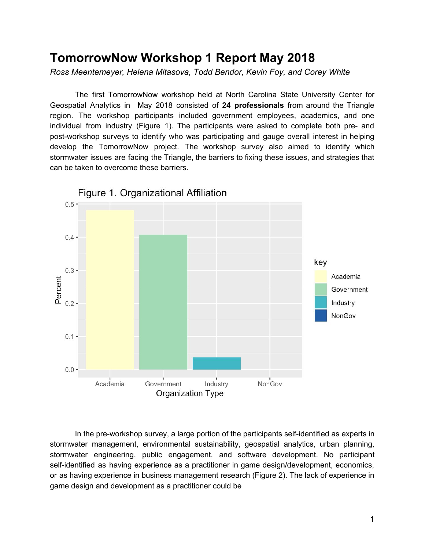# **TomorrowNow Workshop 1 Report May 2018**

*Ross Meentemeyer, Helena Mitasova, Todd Bendor, Kevin Foy, and Corey White*

The first TomorrowNow workshop held at North Carolina State University Center for Geospatial Analytics in May 2018 consisted of **24 professionals** from around the Triangle region. The workshop participants included government employees, academics, and one individual from industry (Figure 1). The participants were asked to complete both pre- and post-workshop surveys to identify who was participating and gauge overall interest in helping develop the TomorrowNow project. The workshop survey also aimed to identify which stormwater issues are facing the Triangle, the barriers to fixing these issues, and strategies that can be taken to overcome these barriers.



In the pre-workshop survey, a large portion of the participants self-identified as experts in stormwater management, environmental sustainability, geospatial analytics, urban planning, stormwater engineering, public engagement, and software development. No participant self-identified as having experience as a practitioner in game design/development, economics, or as having experience in business management research (Figure 2). The lack of experience in game design and development as a practitioner could be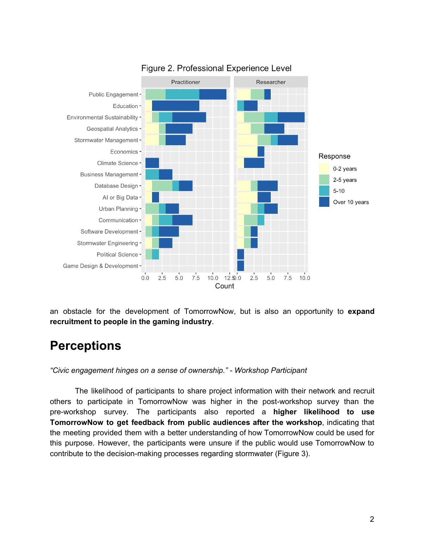

#### Figure 2. Professional Experience Level

an obstacle for the development of TomorrowNow, but is also an opportunity to **expand recruitment to people in the gaming industry**.

# **Perceptions**

*"Civic engagement hinges on a sense of ownership." - Workshop Participant*

The likelihood of participants to share project information with their network and recruit others to participate in TomorrowNow was higher in the post-workshop survey than the pre-workshop survey. The participants also reported a **higher likelihood to use TomorrowNow to get feedback from public audiences after the workshop**, indicating that the meeting provided them with a better understanding of how TomorrowNow could be used for this purpose. However, the participants were unsure if the public would use TomorrowNow to contribute to the decision-making processes regarding stormwater (Figure 3).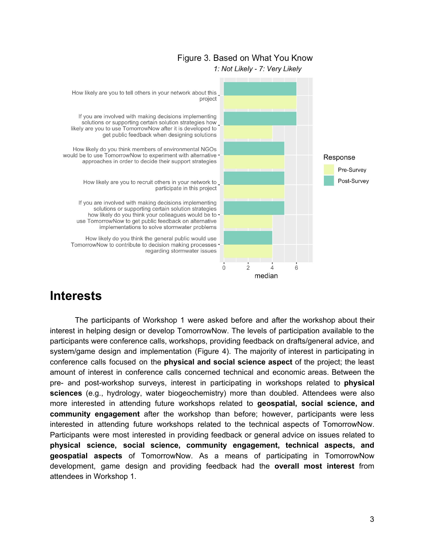#### Figure 3. Based on What You Know



#### 1: Not Likely - 7: Very Likely

## **Interests**

The participants of Workshop 1 were asked before and after the workshop about their interest in helping design or develop TomorrowNow. The levels of participation available to the participants were conference calls, workshops, providing feedback on drafts/general advice, and system/game design and implementation (Figure 4). The majority of interest in participating in conference calls focused on the **physical and social science aspect** of the project; the least amount of interest in conference calls concerned technical and economic areas. Between the pre- and post-workshop surveys, interest in participating in workshops related to **physical sciences** (e.g., hydrology, water biogeochemistry) more than doubled. Attendees were also more interested in attending future workshops related to **geospatial, social science, and community engagement** after the workshop than before; however, participants were less interested in attending future workshops related to the technical aspects of TomorrowNow. Participants were most interested in providing feedback or general advice on issues related to **physical science, social science, community engagement, technical aspects, and geospatial aspects** of TomorrowNow. As a means of participating in TomorrowNow development, game design and providing feedback had the **overall most interest** from attendees in Workshop 1.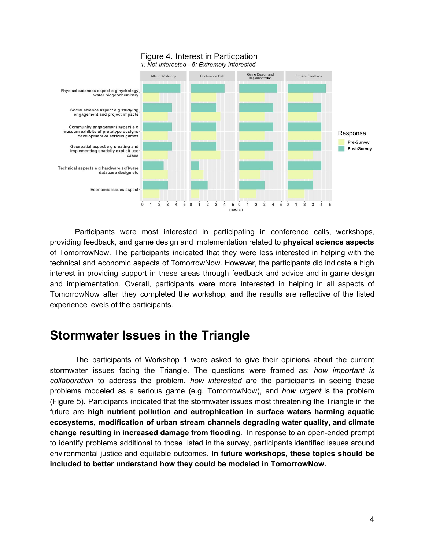

Participants were most interested in participating in conference calls, workshops, providing feedback, and game design and implementation related to **physical science aspects** of TomorrowNow. The participants indicated that they were less interested in helping with the technical and economic aspects of TomorrowNow. However, the participants did indicate a high interest in providing support in these areas through feedback and advice and in game design and implementation. Overall, participants were more interested in helping in all aspects of TomorrowNow after they completed the workshop, and the results are reflective of the listed experience levels of the participants.

# **Stormwater Issues in the Triangle**

The participants of Workshop 1 were asked to give their opinions about the current stormwater issues facing the Triangle. The questions were framed as: *how important is collaboration* to address the problem, *how interested* are the participants in seeing these problems modeled as a serious game (e.g. TomorrowNow), and *how urgent* is the problem (Figure 5). Participants indicated that the stormwater issues most threatening the Triangle in the future are **high nutrient pollution and eutrophication in surface waters harming aquatic ecosystems, modification of urban stream channels degrading water quality, and climate change resulting in increased damage from flooding**. In response to an open-ended prompt to identify problems additional to those listed in the survey, participants identified issues around environmental justice and equitable outcomes. **In future workshops, these topics should be included to better understand how they could be modeled in TomorrowNow.**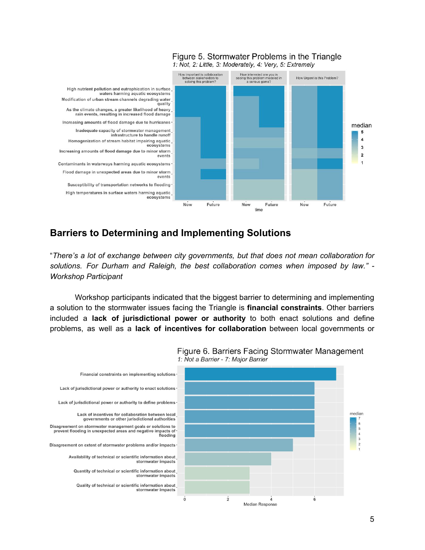

#### Figure 5. Stormwater Problems in the Triangle 1: Not, 2: Little, 3: Moderately, 4: Very, 5: Extremely

### **Barriers to Determining and Implementing Solutions**

"*There's a lot of exchange between city governments, but that does not mean collaboration for solutions. For Durham and Raleigh, the best collaboration comes when imposed by law." - Workshop Participant*

Workshop participants indicated that the biggest barrier to determining and implementing a solution to the stormwater issues facing the Triangle is **financial constraints**. Other barriers included a **lack of jurisdictional power or authority** to both enact solutions and define problems, as well as a **lack of incentives for collaboration** between local governments or



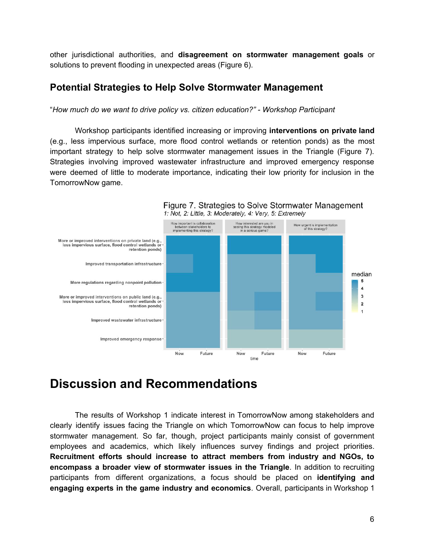other jurisdictional authorities, and **disagreement on stormwater management goals** or solutions to prevent flooding in unexpected areas (Figure 6).

### **Potential Strategies to Help Solve Stormwater Management**

"*How much do we want to drive policy vs. citizen education?" - Workshop Participant*

Workshop participants identified increasing or improving **interventions on private land** (e.g., less impervious surface, more flood control wetlands or retention ponds) as the most important strategy to help solve stormwater management issues in the Triangle (Figure 7). Strategies involving improved wastewater infrastructure and improved emergency response were deemed of little to moderate importance, indicating their low priority for inclusion in the TomorrowNow game.



Figure 7. Strategies to Solve Stormwater Management

# **Discussion and Recommendations**

The results of Workshop 1 indicate interest in TomorrowNow among stakeholders and clearly identify issues facing the Triangle on which TomorrowNow can focus to help improve stormwater management. So far, though, project participants mainly consist of government employees and academics, which likely influences survey findings and project priorities. **Recruitment efforts should increase to attract members from industry and NGOs, to encompass a broader view of stormwater issues in the Triangle**. In addition to recruiting participants from different organizations, a focus should be placed on **identifying and engaging experts in the game industry and economics**. Overall, participants in Workshop 1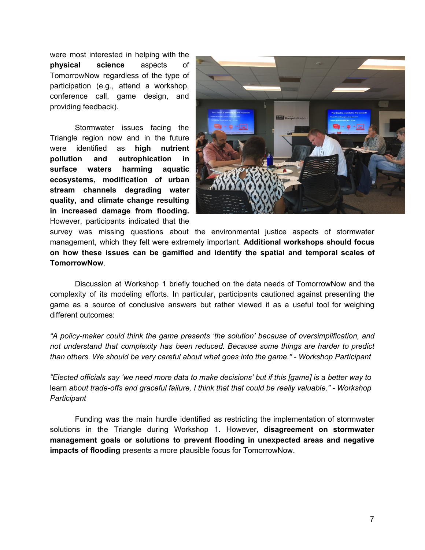were most interested in helping with the **physical science** aspects of TomorrowNow regardless of the type of participation (e.g., attend a workshop, conference call, game design, and providing feedback).

Stormwater issues facing the Triangle region now and in the future were identified as **high nutrient pollution and eutrophication in surface waters harming aquatic ecosystems, modification of urban stream channels degrading water quality, and climate change resulting in increased damage from flooding.** However, participants indicated that the



survey was missing questions about the environmental justice aspects of stormwater management, which they felt were extremely important. **Additional workshops should focus on how these issues can be gamified and identify the spatial and temporal scales of TomorrowNow**.

Discussion at Workshop 1 briefly touched on the data needs of TomorrowNow and the complexity of its modeling efforts. In particular, participants cautioned against presenting the game as a source of conclusive answers but rather viewed it as a useful tool for weighing different outcomes:

*"A policy-maker could think the game presents 'the solution' because of oversimplification, and not understand that complexity has been reduced. Because some things are harder to predict than others. We should be very careful about what goes into the game." - Workshop Participant*

"Elected officials say 'we need more data to make decisions' but if this [game] is a better way to learn *about trade-offs and graceful failure, I think that that could be really valuable." - Workshop Participant*

Funding was the main hurdle identified as restricting the implementation of stormwater solutions in the Triangle during Workshop 1. However, **disagreement on stormwater management goals or solutions to prevent flooding in unexpected areas and negative impacts of flooding** presents a more plausible focus for TomorrowNow.